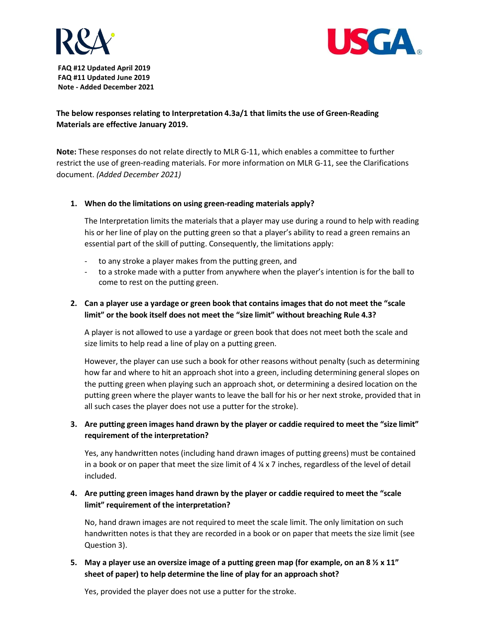



**FAQ #12 Updated April 2019 FAQ #11 Updated June 2019 Note - Added December 2021**

# **The below responses relating to Interpretation 4.3a/1 that limits the use of Green-Reading Materials are effective January 2019.**

**Note:** These responses do not relate directly to MLR G-11, which enables a committee to further restrict the use of green-reading materials. For more information on MLR G-11, see the Clarifications document. *(Added December 2021)*

#### **1. When do the limitations on using green-reading materials apply?**

The Interpretation limits the materials that a player may use during a round to help with reading his or her line of play on the putting green so that a player's ability to read a green remains an essential part of the skill of putting. Consequently, the limitations apply:

- to any stroke a player makes from the putting green, and
- to a stroke made with a putter from anywhere when the player's intention is for the ball to come to rest on the putting green.

#### **2. Can a player use a yardage or green book that contains images that do not meet the "scale limit" or the book itself does not meet the "size limit" without breaching Rule 4.3?**

A player is not allowed to use a yardage or green book that does not meet both the scale and size limits to help read a line of play on a putting green.

However, the player can use such a book for other reasons without penalty (such as determining how far and where to hit an approach shot into a green, including determining general slopes on the putting green when playing such an approach shot, or determining a desired location on the putting green where the player wants to leave the ball for his or her next stroke, provided that in all such cases the player does not use a putter for the stroke).

# **3. Are putting green images hand drawn by the player or caddie required to meet the "size limit" requirement of the interpretation?**

Yes, any handwritten notes (including hand drawn images of putting greens) must be contained in a book or on paper that meet the size limit of  $4 \frac{1}{4} \times 7$  inches, regardless of the level of detail included.

#### **4. Are putting green images hand drawn by the player or caddie required to meet the "scale limit" requirement of the interpretation?**

No, hand drawn images are not required to meet the scale limit. The only limitation on such handwritten notes is that they are recorded in a book or on paper that meets the size limit (see Question 3).

# **5. May a player use an oversize image of a putting green map (for example, on an 8 ½ x 11" sheet of paper) to help determine the line of play for an approach shot?**

Yes, provided the player does not use a putter for the stroke.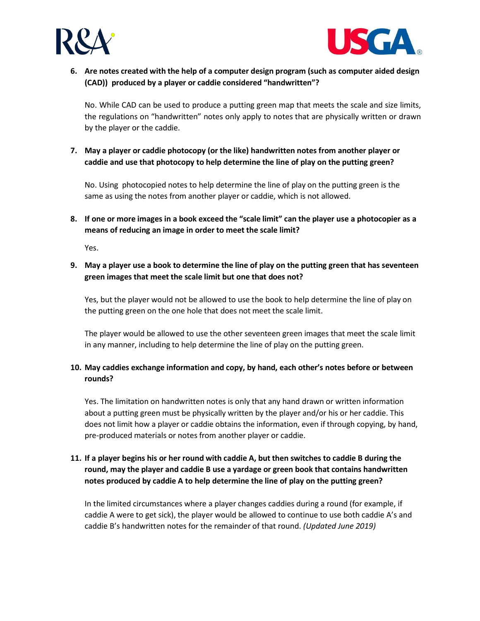



**6. Are notes created with the help of a computer design program (such as computer aided design (CAD)) produced by a player or caddie considered "handwritten"?**

No. While CAD can be used to produce a putting green map that meets the scale and size limits, the regulations on "handwritten" notes only apply to notes that are physically written or drawn by the player or the caddie.

**7. May a player or caddie photocopy (or the like) handwritten notes from another player or caddie and use that photocopy to help determine the line of play on the putting green?**

No. Using photocopied notes to help determine the line of play on the putting green is the same as using the notes from another player or caddie, which is not allowed.

**8. If one or more images in a book exceed the "scale limit" can the player use a photocopier as a means of reducing an image in order to meet the scale limit?**

Yes.

**9. May a player use a book to determine the line of play on the putting green that has seventeen green images that meet the scale limit but one that does not?**

Yes, but the player would not be allowed to use the book to help determine the line of play on the putting green on the one hole that does not meet the scale limit.

The player would be allowed to use the other seventeen green images that meet the scale limit in any manner, including to help determine the line of play on the putting green.

#### **10. May caddies exchange information and copy, by hand, each other's notes before or between rounds?**

Yes. The limitation on handwritten notes is only that any hand drawn or written information about a putting green must be physically written by the player and/or his or her caddie. This does not limit how a player or caddie obtains the information, even if through copying, by hand, pre-produced materials or notes from another player or caddie.

# **11. If a player begins his or her round with caddie A, but then switches to caddie B during the round, may the player and caddie B use a yardage or green book that contains handwritten notes produced by caddie A to help determine the line of play on the putting green?**

In the limited circumstances where a player changes caddies during a round (for example, if caddie A were to get sick), the player would be allowed to continue to use both caddie A's and caddie B's handwritten notes for the remainder of that round. *(Updated June 2019)*